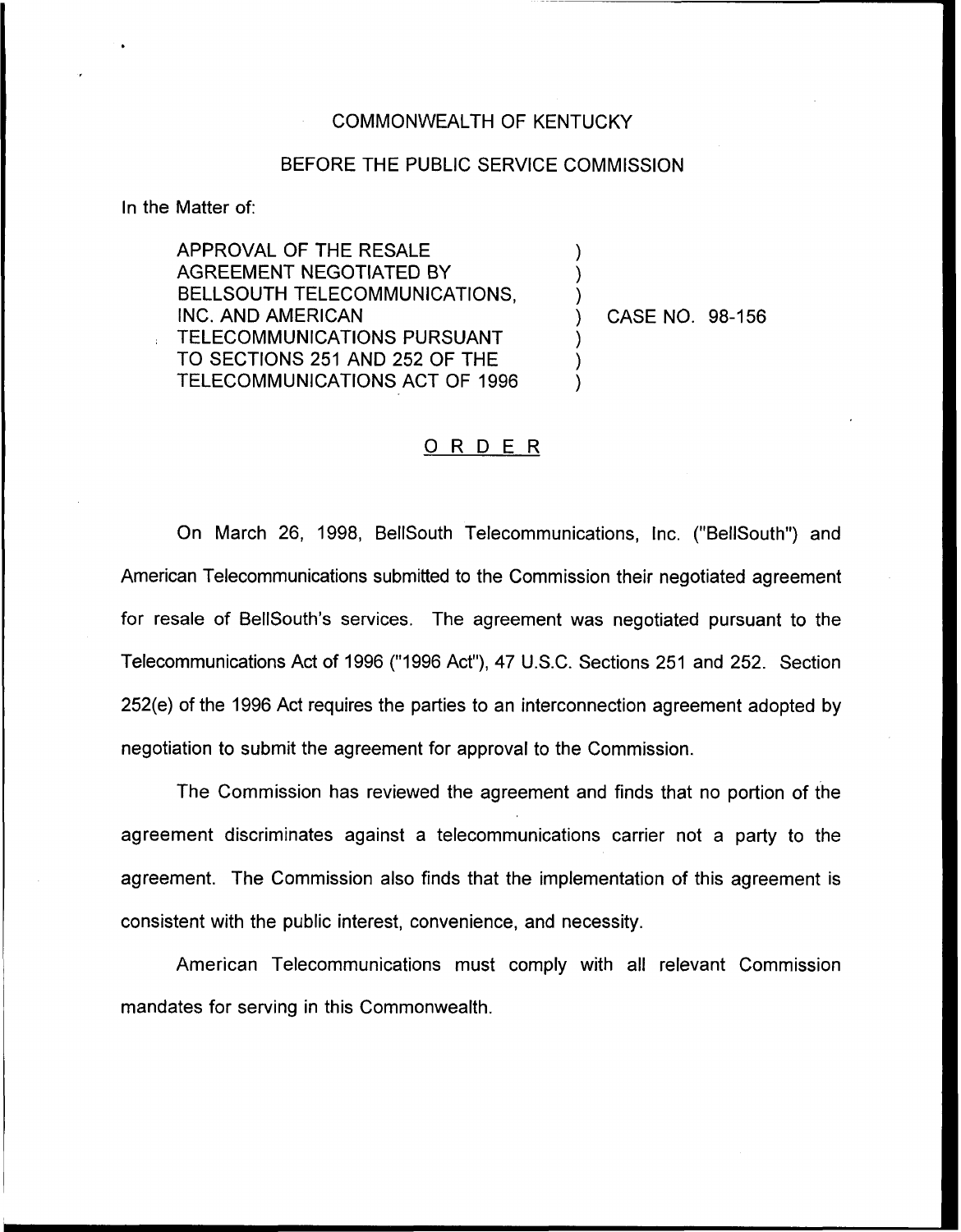## COMMONWEALTH OF KENTUCKY

## BEFORE THE PUBLIC SERVICE COMMISSION

) ) )

) ) )

In the Matter of:

APPROVAL OF THE RESALE AGREEMENT NEGOTIATED BY BELLSOUTH TELECOMMUNICATIONS, INC. AND AMERICAN TELECOMMUNICATIONS PURSUANT TO SECTIONS 251 AND 252 OF THE TELECOMMUNICATIONS ACT OF 1996

) CASE NO. 98-156

## ORDER

On March 26, 1998, BellSouth Telecommunications, Inc. ("BellSouth") and American Telecommunications submitted to the Commission their negotiated agreement for resale of BeIISouth's services. The agreement was negotiated pursuant to the Telecommunications Act of 1996 ("1996Act"), 47 U.S.C. Sections 251 and 252. Section 252(e) of the 1996 Act requires the parties to an interconnection agreement adopted by negotiation to submit the agreement for approval to the Commission.

The Commission has reviewed the agreement and finds that no portion of the agreement discriminates against a telecommunications carrier not a party to the agreement. The Commission also finds that the implementation of this agreement is consistent with the public interest, convenience, and necessity.

American Telecommunications must comply with all relevant Commission mandates for serving in this Commonwealth.